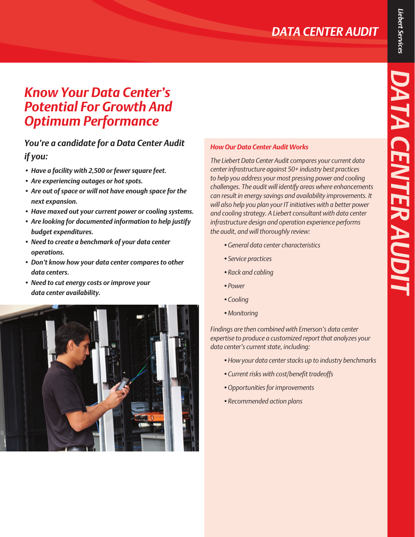## *Know Your Data Center's Potential For Growth And Optimum Performance*

## *You're a candidate for a Data Center Audit if you:*

- *• Have a facility with 2,500 or fewer square feet.*
- *• Are experiencing outages or hot spots.*
- *• Are out of space or will not have enough space for the next expansion.*
- *• Have maxed out your current power or cooling systems.*
- *• Are looking for documented information to help justify budget expenditures.*
- *• Need to create a benchmark of your data center operations.*
- *• Don't know how your data center compares to other data centers.*
- *• Need to cut energy costs or improve your data center availability.*



## *How Our Data Center Audit Works*

*The Liebert Data Center Audit compares your current data center infrastructure against 50+ industry best practices to help you address your most pressing power and cooling challenges. The audit will identify areas where enhancements can result in energy savings and availability improvements. It will also help you plan your IT initiatives with a better power and cooling strategy. A Liebert consultant with data center infrastructure design and operation experience performs the audit, and will thoroughly review:*

- *•General data center characteristics*
- *•Service practices*
- *•Rack and cabling*
- *•Power*
- *•Cooling*
- *•Monitoring*

*Findings are then combined with Emerson's data center expertise to produce a customized report that analyzes your data center's current state, including:*

- *•How your data center stacks up to industry benchmarks*
- *•Current risks with cost/benefit tradeoffs*
- *•Opportunities for improvements*
- *•Recommended action plans*